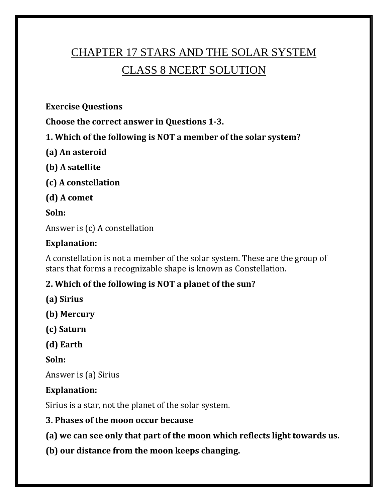# CHAPTER 17 STARS AND THE SOLAR SYSTEM CLASS 8 NCERT SOLUTION

**Exercise Questions**

**Choose the correct answer in Questions 1-3.**

**1. Which of the following is NOT a member of the solar system?**

- **(a) An asteroid**
- **(b) A satellite**
- **(c) A constellation**
- **(d) A comet**

#### **Soln:**

Answer is (c) A constellation

# **Explanation:**

A constellation is not a member of the solar system. These are the group of stars that forms a recognizable shape is known as Constellation.

# **2. Which of the following is NOT a planet of the sun?**

- **(a) Sirius**
- **(b) Mercury**
- **(c) Saturn**
- **(d) Earth**

**Soln:**

Answer is (a) Sirius

# **Explanation:**

Sirius is a star, not the planet of the solar system.

# **3. Phases of the moon occur because**

**(a) we can see only that part of the moon which reflects light towards us.**

**(b) our distance from the moon keeps changing.**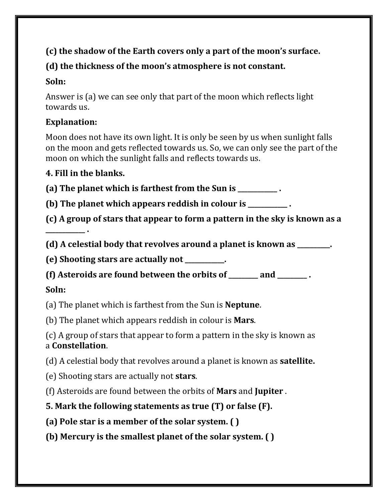# **(c) the shadow of the Earth covers only a part of the moon's surface.**

# **(d) the thickness of the moon's atmosphere is not constant.**

# **Soln:**

Answer is (a) we can see only that part of the moon which reflects light towards us.

# **Explanation:**

Moon does not have its own light. It is only be seen by us when sunlight falls on the moon and gets reflected towards us. So, we can only see the part of the moon on which the sunlight falls and reflects towards us.

# **4. Fill in the blanks.**

**(a) The planet which is farthest from the Sun is \_\_\_\_\_\_\_\_\_\_\_\_ .**

**(b) The planet which appears reddish in colour is \_\_\_\_\_\_\_\_\_\_\_\_ .**

**(c) A group of stars that appear to form a pattern in the sky is known as a \_\_\_\_\_\_\_\_\_\_\_\_ .**

**(d) A celestial body that revolves around a planet is known as \_\_\_\_\_\_\_\_\_\_.**

**(e) Shooting stars are actually not \_\_\_\_\_\_\_\_\_\_\_\_.**

**(f) Asteroids are found between the orbits of \_\_\_\_\_\_\_\_\_ and \_\_\_\_\_\_\_\_\_ .**

# **Soln:**

(a) The planet which is farthest from the Sun is **Neptune**.

(b) The planet which appears reddish in colour is **Mars**.

(c) A group of stars that appear to form a pattern in the sky is known as a **Constellation**.

(d) A celestial body that revolves around a planet is known as **satellite.**

(e) Shooting stars are actually not **stars**.

(f) Asteroids are found between the orbits of **Mars** and **Jupiter** .

**5. Mark the following statements as true (T) or false (F).**

**(a) Pole star is a member of the solar system. ( )**

**(b) Mercury is the smallest planet of the solar system. ( )**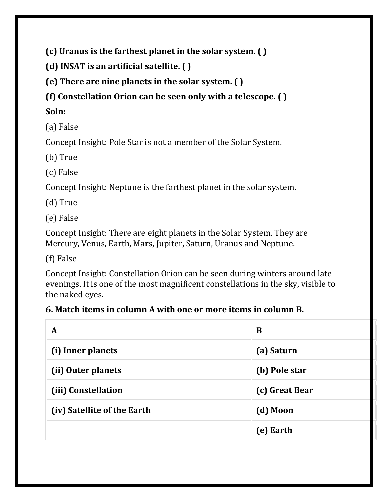**(c) Uranus is the farthest planet in the solar system. ( )**

**(d) INSAT is an artificial satellite. ( )**

**(e) There are nine planets in the solar system. ( )**

**(f) Constellation Orion can be seen only with a telescope. ( )**

**Soln:**

(a) False

Concept Insight: Pole Star is not a member of the Solar System.

(b) True

(c) False

Concept Insight: Neptune is the farthest planet in the solar system.

(d) True

(e) False

Concept Insight: There are eight planets in the Solar System. They are Mercury, Venus, Earth, Mars, Jupiter, Saturn, Uranus and Neptune.

(f) False

Concept Insight: Constellation Orion can be seen during winters around late evenings. It is one of the most magnificent constellations in the sky, visible to the naked eyes.

#### **6. Match items in column A with one or more items in column B.**

| A                           | B              |
|-----------------------------|----------------|
| (i) Inner planets           | (a) Saturn     |
| (ii) Outer planets          | (b) Pole star  |
| (iii) Constellation         | (c) Great Bear |
| (iv) Satellite of the Earth | (d) Moon       |
|                             | (e) Earth      |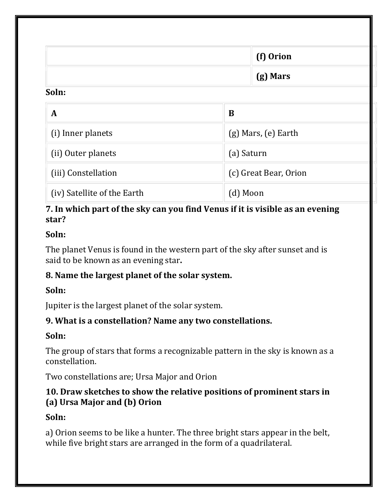|                             | (f) Orion               |  |
|-----------------------------|-------------------------|--|
|                             | (g) Mars                |  |
| Soln:                       |                         |  |
| $\mathbf{A}$                | B                       |  |
| (i) Inner planets           | $(g)$ Mars, $(e)$ Earth |  |
| (ii) Outer planets          | (a) Saturn              |  |
| (iii) Constellation         | (c) Great Bear, Orion   |  |
| (iv) Satellite of the Earth | (d) Moon                |  |

#### **7. In which part of the sky can you find Venus if it is visible as an evening star?**

#### **Soln:**

The planet Venus is found in the western part of the sky after sunset and is said to be known as an evening star**.**

# **8. Name the largest planet of the solar system.**

# **Soln:**

Jupiter is the largest planet of the solar system.

# **9. What is a constellation? Name any two constellations.**

# **Soln:**

The group of stars that forms a recognizable pattern in the sky is known as a constellation.

Two constellations are; Ursa Major and Orion

# **10. Draw sketches to show the relative positions of prominent stars in (a) Ursa Major and (b) Orion**

# **Soln:**

a) Orion seems to be like a hunter. The three bright stars appear in the belt, while five bright stars are arranged in the form of a quadrilateral.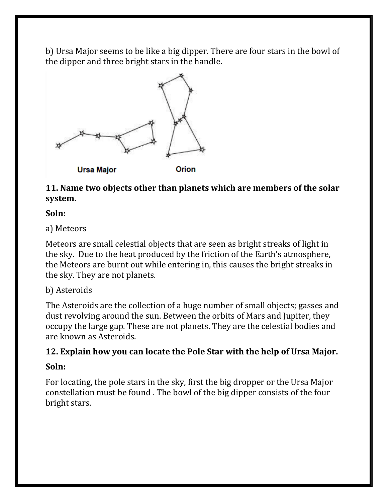b) Ursa Major seems to be like a big dipper. There are four stars in the bowl of the dipper and three bright stars in the handle.



**11. Name two objects other than planets which are members of the solar system.**

#### **Soln:**

a) Meteors

Meteors are small celestial objects that are seen as bright streaks of light in the sky. Due to the heat produced by the friction of the Earth's atmosphere, the Meteors are burnt out while entering in, this causes the bright streaks in the sky. They are not planets.

# b) Asteroids

The Asteroids are the collection of a huge number of small objects; gasses and dust revolving around the sun. Between the orbits of Mars and Jupiter, they occupy the large gap. These are not planets. They are the celestial bodies and are known as Asteroids.

# **12. Explain how you can locate the Pole Star with the help of Ursa Major.**

#### **Soln:**

For locating, the pole stars in the sky, first the big dropper or the Ursa Major constellation must be found . The bowl of the big dipper consists of the four bright stars.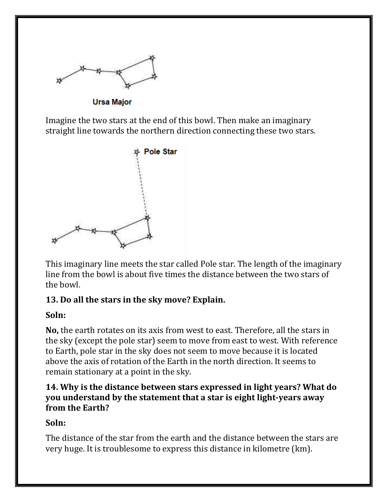

**Ursa Major** 

Imagine the two stars at the end of this bowl. Then make an imaginary straight line towards the northern direction connecting these two stars.



This imaginary line meets the star called Pole star. The length of the imaginary line from the bowl is about five times the distance between the two stars of the bowl.

#### **13. Do all the stars in the sky move? Explain.**

#### **Soln:**

**No,** the earth rotates on its axis from west to east. Therefore, all the stars in the sky (except the pole star) seem to move from east to west. With reference to Earth, pole star in the sky does not seem to move because it is located above the axis of rotation of the Earth in the north direction. It seems to remain stationary at a point in the sky.

#### **14. Why is the distance between stars expressed in light years? What do you understand by the statement that a star is eight light-years away from the Earth?**

#### **Soln:**

The distance of the star from the earth and the distance between the stars are very huge. It is troublesome to express this distance in kilometre (km).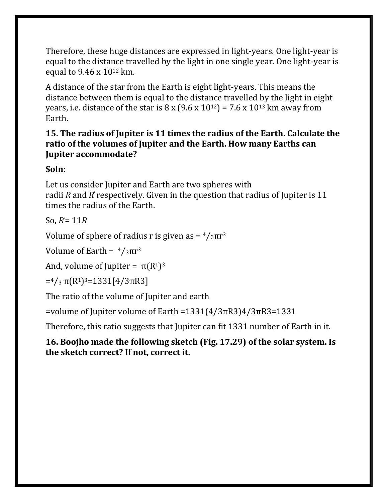Therefore, these huge distances are expressed in light-years. One light-year is equal to the distance travelled by the light in one single year. One light-year is equal to 9.46 x 10<sup>12</sup> km.

A distance of the star from the Earth is eight light-years. This means the distance between them is equal to the distance travelled by the light in eight years, i.e. distance of the star is  $8 \times (9.6 \times 10^{12}) = 7.6 \times 10^{13}$  km away from Earth.

#### **15. The radius of Jupiter is 11 times the radius of the Earth. Calculate the ratio of the volumes of Jupiter and the Earth. How many Earths can Jupiter accommodate?**

**Soln:**

Let us consider Jupiter and Earth are two spheres with radii *R* and *R*' respectively. Given in the question that radius of Jupiter is 11 times the radius of the Earth.

So, *R'*= 11*R*

Volume of sphere of radius r is given as  $=$   $\frac{4}{3} \pi r^3$ 

Volume of Earth =  $\frac{4}{3}$ πr<sup>3</sup>

And, volume of Jupiter =  $\pi(R^1)^3$ 

 $=$ <sup>4</sup>/<sub>3</sub>  $\pi$ (R<sup>1</sup>)<sup>3</sup>=1331[4/3 $\pi$ R3]

The ratio of the volume of Jupiter and earth

=volume of Jupiter volume of Earth =1331(4/3πR3)4/3πR3=1331

Therefore, this ratio suggests that Jupiter can fit 1331 number of Earth in it.

**16. Boojho made the following sketch (Fig. 17.29) of the solar system. Is the sketch correct? If not, correct it.**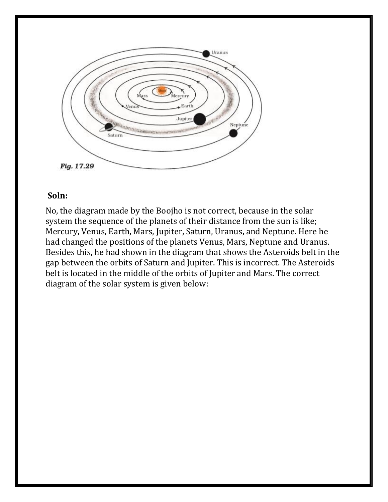

#### **Soln:**

No, the diagram made by the Boojho is not correct, because in the solar system the sequence of the planets of their distance from the sun is like; Mercury, Venus, Earth, Mars, Jupiter, Saturn, Uranus, and Neptune. Here he had changed the positions of the planets Venus, Mars, Neptune and Uranus. Besides this, he had shown in the diagram that shows the Asteroids belt in the gap between the orbits of Saturn and Jupiter. This is incorrect. The Asteroids belt is located in the middle of the orbits of Jupiter and Mars. The correct diagram of the solar system is given below: